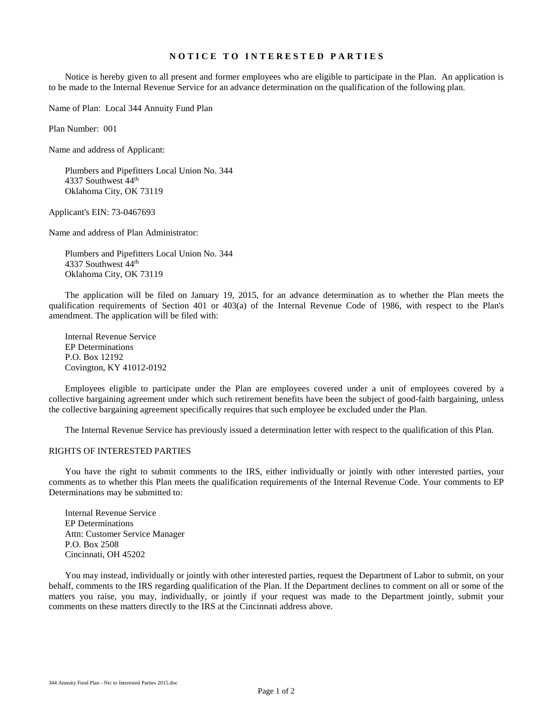# **N O T I C E T O I N T E R E S T E D P A R T I E S**

Notice is hereby given to all present and former employees who are eligible to participate in the Plan. An application is to be made to the Internal Revenue Service for an advance determination on the qualification of the following plan.

Name of Plan: Local 344 Annuity Fund Plan

Plan Number: 001

Name and address of Applicant:

Plumbers and Pipefitters Local Union No. 344 4337 Southwest 44<sup>th</sup> Oklahoma City, OK 73119

Applicant's EIN: 73-0467693

Name and address of Plan Administrator:

Plumbers and Pipefitters Local Union No. 344 4337 Southwest 44<sup>th</sup> Oklahoma City, OK 73119

The application will be filed on January 19, 2015, for an advance determination as to whether the Plan meets the qualification requirements of Section 401 or 403(a) of the Internal Revenue Code of 1986, with respect to the Plan's amendment. The application will be filed with:

Internal Revenue Service EP Determinations P.O. Box 12192 Covington, KY 41012-0192

Employees eligible to participate under the Plan are employees covered under a unit of employees covered by a collective bargaining agreement under which such retirement benefits have been the subject of good-faith bargaining, unless the collective bargaining agreement specifically requires that such employee be excluded under the Plan.

The Internal Revenue Service has previously issued a determination letter with respect to the qualification of this Plan.

#### RIGHTS OF INTERESTED PARTIES

You have the right to submit comments to the IRS, either individually or jointly with other interested parties, your comments as to whether this Plan meets the qualification requirements of the Internal Revenue Code. Your comments to EP Determinations may be submitted to:

Internal Revenue Service EP Determinations Attn: Customer Service Manager P.O. Box 2508 Cincinnati, OH 45202

You may instead, individually or jointly with other interested parties, request the Department of Labor to submit, on your behalf, comments to the IRS regarding qualification of the Plan. If the Department declines to comment on all or some of the matters you raise, you may, individually, or jointly if your request was made to the Department jointly, submit your comments on these matters directly to the IRS at the Cincinnati address above.